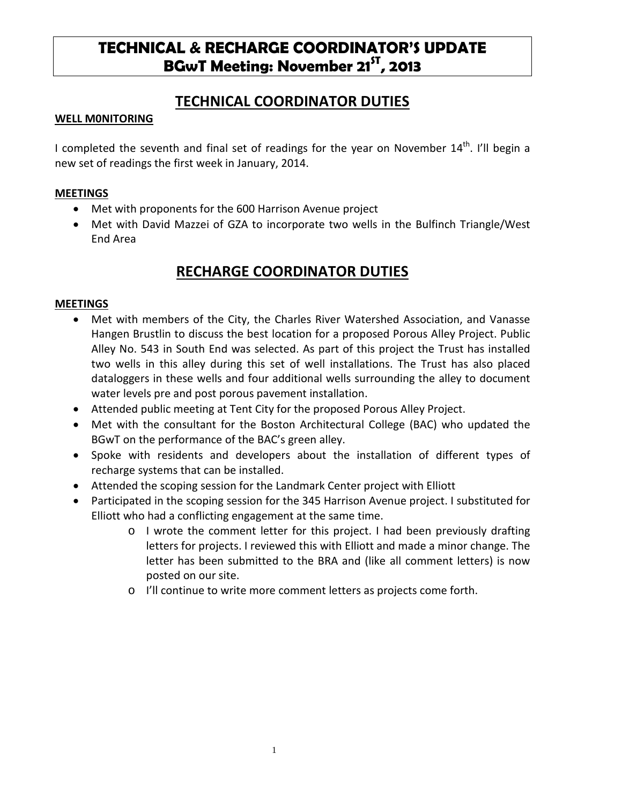# **TECHNICAL & RECHARGE COORDINATOR'S UPDATE BGwT Meeting: November 21<sup>5T</sup>, 2013**

### **TECHNICAL COORDINATOR DUTIES**

#### **WELL M0NITORING**

I completed the seventh and final set of readings for the year on November  $14^{th}$ . I'll begin a new set of readings the first week in January, 2014.

#### **MEETINGS**

- Met with proponents for the 600 Harrison Avenue project
- Met with David Mazzei of GZA to incorporate two wells in the Bulfinch Triangle/West End Area

## **RECHARGE COORDINATOR DUTIES**

#### **MEETINGS**

- Met with members of the City, the Charles River Watershed Association, and Vanasse Hangen Brustlin to discuss the best location for a proposed Porous Alley Project. Public Alley No. 543 in South End was selected. As part of this project the Trust has installed two wells in this alley during this set of well installations. The Trust has also placed dataloggers in these wells and four additional wells surrounding the alley to document water levels pre and post porous pavement installation.
- Attended public meeting at Tent City for the proposed Porous Alley Project.
- Met with the consultant for the Boston Architectural College (BAC) who updated the BGwT on the performance of the BAC's green alley.
- Spoke with residents and developers about the installation of different types of recharge systems that can be installed.
- Attended the scoping session for the Landmark Center project with Elliott
- Participated in the scoping session for the 345 Harrison Avenue project. I substituted for Elliott who had a conflicting engagement at the same time.
	- o I wrote the comment letter for this project. I had been previously drafting letters for projects. I reviewed this with Elliott and made a minor change. The letter has been submitted to the BRA and (like all comment letters) is now posted on our site.
	- o I'll continue to write more comment letters as projects come forth.